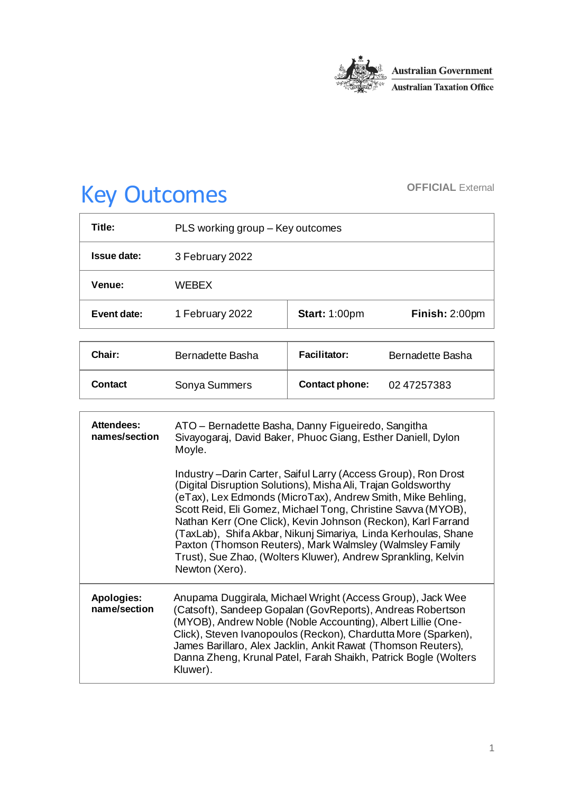

# Key Outcomes **OFFICIAL External**

| Title:      | PLS working group – Key outcomes |                      |                |
|-------------|----------------------------------|----------------------|----------------|
| Issue date: | 3 February 2022                  |                      |                |
| Venue:      | <b>WFBFX</b>                     |                      |                |
| Event date: | 1 February 2022                  | <b>Start: 1:00pm</b> | Finish: 2:00pm |

| Chair:         | Bernadette Basha | <b>Facilitator:</b>   | Bernadette Basha |
|----------------|------------------|-----------------------|------------------|
| <b>Contact</b> | Sonya Summers    | <b>Contact phone:</b> | 0247257383       |

| <b>Attendees:</b><br>names/section | ATO - Bernadette Basha, Danny Figueiredo, Sangitha<br>Sivayogaraj, David Baker, Phuoc Giang, Esther Daniell, Dylon<br>Moyle.                                                                                                                                                                                                                                                                                                                                                                                                                      |  |
|------------------------------------|---------------------------------------------------------------------------------------------------------------------------------------------------------------------------------------------------------------------------------------------------------------------------------------------------------------------------------------------------------------------------------------------------------------------------------------------------------------------------------------------------------------------------------------------------|--|
|                                    | Industry – Darin Carter, Saiful Larry (Access Group), Ron Drost<br>(Digital Disruption Solutions), Misha Ali, Trajan Goldsworthy<br>(eTax), Lex Edmonds (MicroTax), Andrew Smith, Mike Behling,<br>Scott Reid, Eli Gomez, Michael Tong, Christine Savva (MYOB),<br>Nathan Kerr (One Click), Kevin Johnson (Reckon), Karl Farrand<br>(TaxLab), Shifa Akbar, Nikunj Simariya, Linda Kerhoulas, Shane<br>Paxton (Thomson Reuters), Mark Walmsley (Walmsley Family<br>Trust), Sue Zhao, (Wolters Kluwer), Andrew Sprankling, Kelvin<br>Newton (Xero). |  |
| <b>Apologies:</b><br>name/section  | Anupama Duggirala, Michael Wright (Access Group), Jack Wee<br>(Catsoft), Sandeep Gopalan (GovReports), Andreas Robertson<br>(MYOB), Andrew Noble (Noble Accounting), Albert Lillie (One-<br>Click), Steven Ivanopoulos (Reckon), Chardutta More (Sparken),<br>James Barillaro, Alex Jacklin, Ankit Rawat (Thomson Reuters),<br>Danna Zheng, Krunal Patel, Farah Shaikh, Patrick Bogle (Wolters<br>Kluwer).                                                                                                                                        |  |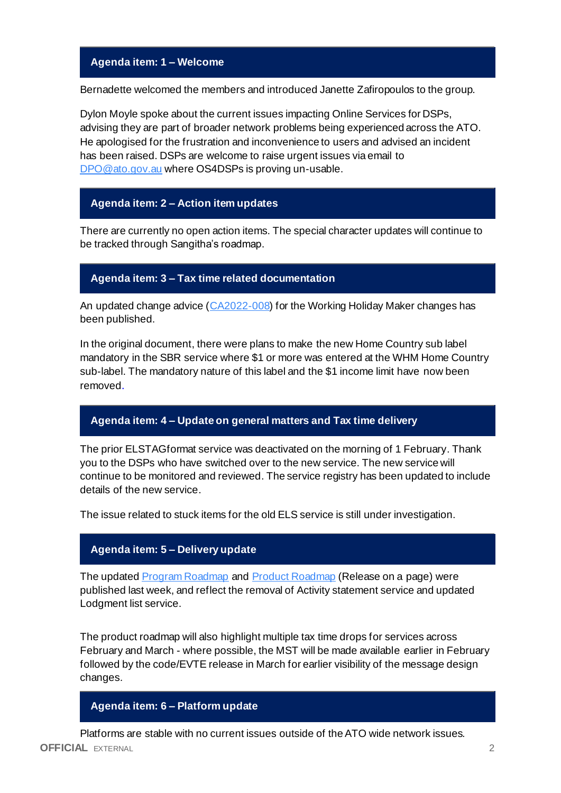# **Agenda item: 1 – Welcome**

Bernadette welcomed the members and introduced Janette Zafiropoulos to the group.

Dylon Moyle spoke about the current issues impacting Online Services for DSPs, advising they are part of broader network problems being experienced across the ATO. He apologised for the frustration and inconvenience to users and advised an incident has been raised. DSPs are welcome to raise urgent issues via email to [DPO@ato.gov.au](mailto:DPO@ato.gov.au) where OS4DSPs is proving un-usable.

## **Agenda item: 2 – Action item updates**

There are currently no open action items. The special character updates will continue to be tracked through Sangitha's roadmap.

## **Agenda item: 3 – Tax time related documentation**

An updated change advice [\(CA2022-008\)](https://developer.sbr.gov.au/collaborate/display/DSPCOLLAB/2022+change+advices) for the Working Holiday Maker changes has been published.

In the original document, there were plans to make the new Home Country sub label mandatory in the SBR service where \$1 or more was entered at the WHM Home Country sub-label. The mandatory nature of this label and the \$1 income limit have now been removed.

#### **Agenda item: 4 – Update on general matters and Tax time delivery**

The prior ELSTAGformat service was deactivated on the morning of 1 February. Thank you to the DSPs who have switched over to the new service. The new service will continue to be monitored and reviewed. The service registry has been updated to include details of the new service.

The issue related to stuck items for the old ELS service is still under investigation.

#### **Agenda item: 5 – Delivery update**

The updated **Program Roadmap and [Product Roadmap](https://developer.sbr.gov.au/collaborate/pages/viewpage.action?pageId=121251987)** (Release on a page) were published last week, and reflect the removal of Activity statement service and updated Lodgment list service.

The product roadmap will also highlight multiple tax time drops for services across February and March - where possible, the MST will be made available earlier in February followed by the code/EVTE release in March for earlier visibility of the message design changes.

#### **Agenda item: 6 – Platform update**

**OFFICIAL** EXTERNAL 2 Platforms are stable with no current issues outside of the ATO wide network issues.